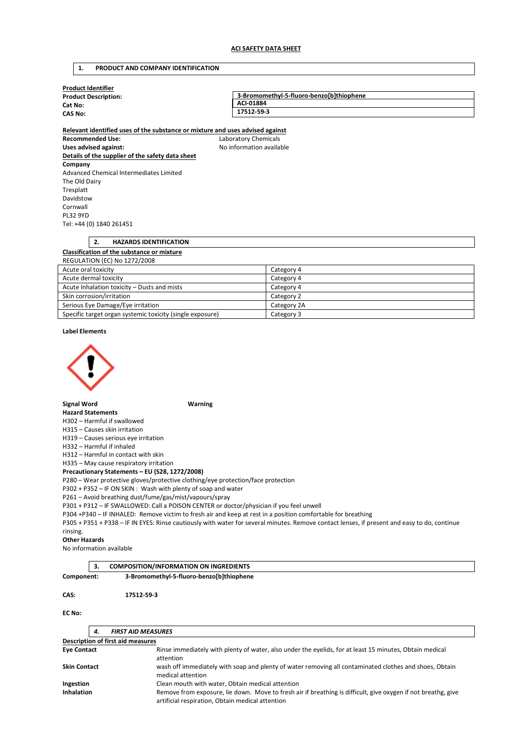### **1. PRODUCT AND COMPANY IDENTIFICATION**

**Relevant identified uses of the substance or mixture and uses advised against** 

| <b>Product Identifier</b>   |                                          |  |  |  |
|-----------------------------|------------------------------------------|--|--|--|
| <b>Product Description:</b> | 3-Bromomethyl-5-fluoro-benzo[b]thiophene |  |  |  |
| Cat No:                     | ACI-01884                                |  |  |  |
| <b>CAS No:</b>              | 17512-59-3                               |  |  |  |
|                             |                                          |  |  |  |

**Recommended Use:** Laboratory Chemicals Uses advised against: **No information available Details of the supplier of the safety data sheet Company**  Advanced Chemical Intermediates Limited The Old Dairy Tresplatt Davidstow Cornwall PL32 9YD Tel: +44 (0) 1840 261451

## **2. HAZARDS IDENTIFICATION Classification of the substance or mixture**  REGULATION (EC) No 1272/2008 Acute oral toxicity Category 4

| ACULE UI AL LUAICILY                                      | Calcguiv <sup>4</sup> |
|-----------------------------------------------------------|-----------------------|
| Acute dermal toxicity                                     | Category 4            |
| Acute Inhalation toxicity - Dusts and mists               | Category 4            |
| Skin corrosion/irritation                                 | Category 2            |
| Serious Eye Damage/Eye irritation                         | Category 2A           |
| Specific target organ systemic toxicity (single exposure) | Category 3            |

### **Label Elements**



# **Signal Word Warning**

### **Hazard Statements**

H302 – Harmful if swallowed

H315 – Causes skin irritation

H319 – Causes serious eye irritation

H332 – Harmful if inhaled

H312 – Harmful in contact with skin

H335 – May cause respiratory irritation

**Precautionary Statements – EU (S28, 1272/2008)** 

P280 – Wear protective gloves/protective clothing/eye protection/face protection

P302 + P352 – IF ON SKIN : Wash with plenty of soap and water

P261 – Avoid breathing dust/fume/gas/mist/vapours/spray

P301 + P312 – IF SWALLOWED: Call a POISON CENTER or doctor/physician if you feel unwell

P304 +P340 – IF INHALED: Remove victim to fresh air and keep at rest in a position comfortable for breathing

P305 + P351 + P338 – IF IN EYES: Rinse cautiously with water for several minutes. Remove contact lenses, if present and easy to do, continue rinsing.

### **Other Hazards**

No information available

|  | <b>COMPOSITION/INFORMATION ON INGREDIENTS</b> |
|--|-----------------------------------------------|
|  |                                               |

**Component: 3-Bromomethyl-5-fluoro-benzo[b]thiophene**

### **CAS: 17512-59-3**

**EC No:** 

| -4.                                                                                                                                        | <b>FIRST AID MEASURES</b>                                                                                                                                         |  |  |  |  |
|--------------------------------------------------------------------------------------------------------------------------------------------|-------------------------------------------------------------------------------------------------------------------------------------------------------------------|--|--|--|--|
| Description of first aid measures                                                                                                          |                                                                                                                                                                   |  |  |  |  |
| Rinse immediately with plenty of water, also under the eyelids, for at least 15 minutes, Obtain medical<br><b>Eye Contact</b><br>attention |                                                                                                                                                                   |  |  |  |  |
| <b>Skin Contact</b>                                                                                                                        | wash off immediately with soap and plenty of water removing all contaminated clothes and shoes, Obtain<br>medical attention                                       |  |  |  |  |
| Ingestion                                                                                                                                  | Clean mouth with water, Obtain medical attention                                                                                                                  |  |  |  |  |
| <b>Inhalation</b>                                                                                                                          | Remove from exposure, lie down. Move to fresh air if breathing is difficult, give oxygen if not breathg, give<br>artificial respiration, Obtain medical attention |  |  |  |  |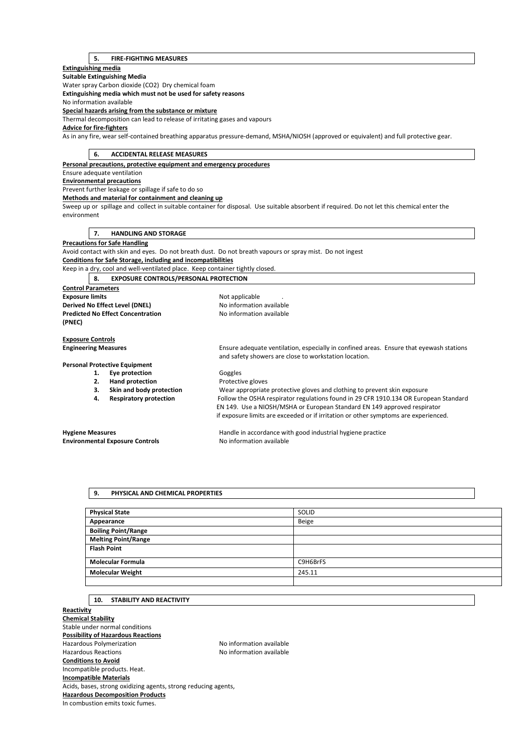## **5. FIRE-FIGHTING MEASURES**

# **Extinguishing media Suitable Extinguishing Media**  Water spray Carbon dioxide (CO2) Dry chemical foam **Extinguishing media which must not be used for safety reasons**  No information available **Special hazards arising from the substance or mixture**  Thermal decomposition can lead to release of irritating gases and vapours **Advice for fire-fighters**  As in any fire, wear self-contained breathing apparatus pressure-demand, MSHA/NIOSH (approved or equivalent) and full protective gear. **6. ACCIDENTAL RELEASE MEASURES Personal precautions, protective equipment and emergency procedures**  Ensure adequate ventilation **Environmental precautions**  Prevent further leakage or spillage if safe to do so **Methods and material for containment and cleaning up**  Sweep up or spillage and collect in suitable container for disposal. Use suitable absorbent if required. Do not let this chemical enter the environment **7. HANDLING AND STORAGE Precautions for Safe Handling**  Avoid contact with skin and eyes. Do not breath dust. Do not breath vapours or spray mist. Do not ingest **Conditions for Safe Storage, including and incompatibilities**  Keep in a dry, cool and well-ventilated place. Keep container tightly closed. **8. EXPOSURE CONTROLS/PERSONAL PROTECTION Control Parameters Exposure limits Exposure limits Not applicable** . **Derived No Effect Level (DNEL)** No information available **Predicted No Effect Concentration** No information available **(PNEC) Exposure Controls Engineering Measures** Ensure adequate ventilation, especially in confined areas. Ensure that eyewash stations and safety showers are close to workstation location. **Personal Protective Equipment**  1. **Eye protection Goggles 2. Hand protection Protective gloves 3. Skin and body protection** Wear appropriate protective gloves and clothing to prevent skin exposure **4. Respiratory protection** Follow the OSHA respirator regulations found in 29 CFR 1910.134 OR European Standard EN 149. Use a NIOSH/MSHA or European Standard EN 149 approved respirator if exposure limits are exceeded or if irritation or other symptoms are experienced.

**Environmental Exposure Controls No information available** 

**Hygiene Measures** Handle in accordance with good industrial hygiene practice

# **9. PHYSICAL AND CHEMICAL PROPERTIES**

| <b>Physical State</b>      | SOLID    |
|----------------------------|----------|
| Appearance                 | Beige    |
| <b>Boiling Point/Range</b> |          |
| <b>Melting Point/Range</b> |          |
| <b>Flash Point</b>         |          |
| <b>Molecular Formula</b>   | C9H6BrFS |
| <b>Molecular Weight</b>    | 245.11   |
|                            |          |

# **10. STABILITY AND REACTIVITY**

**Reactivity Chemical Stability**  Stable under normal conditions **Possibility of Hazardous Reactions**  Hazardous Polymerization Maximum No information available Hazardous Reactions No information available **Conditions to Avoid**  Incompatible products. Heat. **Incompatible Materials**  Acids, bases, strong oxidizing agents, strong reducing agents, **Hazardous Decomposition Products**  In combustion emits toxic fumes.